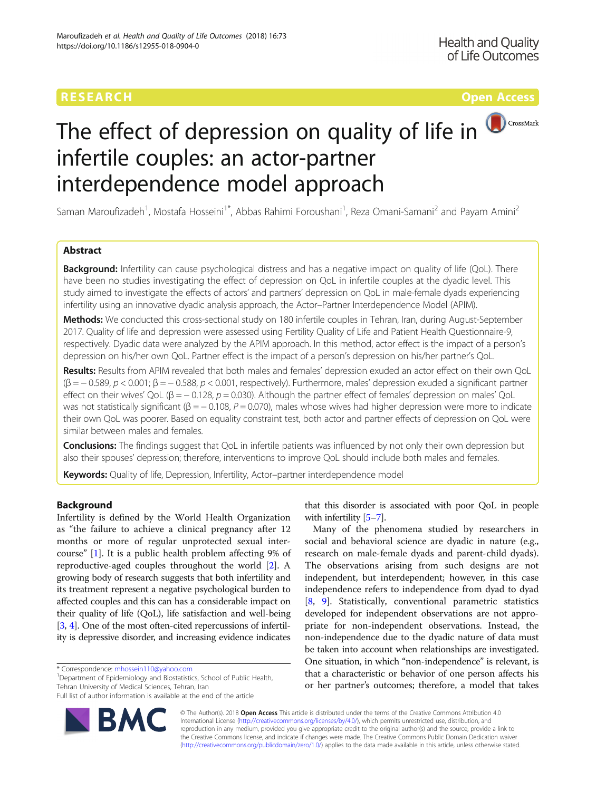# **RESEARCH CH Open Access CHOOP CONTROL**



# The effect of depression on quality of life in infertile couples: an actor-partner interdependence model approach

Saman Maroufizadeh<sup>1</sup>, Mostafa Hosseini<sup>1\*</sup>, Abbas Rahimi Foroushani<sup>1</sup>, Reza Omani-Samani<sup>2</sup> and Payam Amini<sup>2</sup>

# Abstract

**Background:** Infertility can cause psychological distress and has a negative impact on quality of life (QoL). There have been no studies investigating the effect of depression on QoL in infertile couples at the dyadic level. This study aimed to investigate the effects of actors' and partners' depression on QoL in male-female dyads experiencing infertility using an innovative dyadic analysis approach, the Actor–Partner Interdependence Model (APIM).

Methods: We conducted this cross-sectional study on 180 infertile couples in Tehran, Iran, during August-September 2017. Quality of life and depression were assessed using Fertility Quality of Life and Patient Health Questionnaire-9, respectively. Dyadic data were analyzed by the APIM approach. In this method, actor effect is the impact of a person's depression on his/her own QoL. Partner effect is the impact of a person's depression on his/her partner's QoL.

Results: Results from APIM revealed that both males and females' depression exuded an actor effect on their own QoL  $(\beta = -0.589, p < 0.001; \beta = -0.588, p < 0.001$ , respectively). Furthermore, males' depression exuded a significant partner effect on their wives' QoL ( $\beta = -0.128$ ,  $p = 0.030$ ). Although the partner effect of females' depression on males' QoL was not statistically significant ( $\beta = -0.108$ ,  $P = 0.070$ ), males whose wives had higher depression were more to indicate their own QoL was poorer. Based on equality constraint test, both actor and partner effects of depression on QoL were similar between males and females.

Conclusions: The findings suggest that QoL in infertile patients was influenced by not only their own depression but also their spouses' depression; therefore, interventions to improve QoL should include both males and females.

Keywords: Quality of life, Depression, Infertility, Actor-partner interdependence model

# Background

Infertility is defined by the World Health Organization as "the failure to achieve a clinical pregnancy after 12 months or more of regular unprotected sexual intercourse" [\[1](#page-5-0)]. It is a public health problem affecting 9% of reproductive-aged couples throughout the world [[2\]](#page-5-0). A growing body of research suggests that both infertility and its treatment represent a negative psychological burden to affected couples and this can has a considerable impact on their quality of life (QoL), life satisfaction and well-being [[3,](#page-5-0) [4](#page-5-0)]. One of the most often-cited repercussions of infertility is depressive disorder, and increasing evidence indicates

<sup>1</sup>Department of Epidemiology and Biostatistics, School of Public Health, Tehran University of Medical Sciences, Tehran, Iran

Full list of author information is available at the end of the article



that this disorder is associated with poor QoL in people with infertility [[5](#page-5-0)-[7\]](#page-6-0).

Many of the phenomena studied by researchers in social and behavioral science are dyadic in nature (e.g., research on male-female dyads and parent-child dyads). The observations arising from such designs are not independent, but interdependent; however, in this case independence refers to independence from dyad to dyad [[8,](#page-6-0) [9\]](#page-6-0). Statistically, conventional parametric statistics developed for independent observations are not appropriate for non-independent observations. Instead, the non-independence due to the dyadic nature of data must be taken into account when relationships are investigated. One situation, in which "non-independence" is relevant, is that a characteristic or behavior of one person affects his or her partner's outcomes; therefore, a model that takes

© The Author(s). 2018 Open Access This article is distributed under the terms of the Creative Commons Attribution 4.0 International License [\(http://creativecommons.org/licenses/by/4.0/](http://creativecommons.org/licenses/by/4.0/)), which permits unrestricted use, distribution, and reproduction in any medium, provided you give appropriate credit to the original author(s) and the source, provide a link to the Creative Commons license, and indicate if changes were made. The Creative Commons Public Domain Dedication waiver [\(http://creativecommons.org/publicdomain/zero/1.0/](http://creativecommons.org/publicdomain/zero/1.0/)) applies to the data made available in this article, unless otherwise stated.

<sup>\*</sup> Correspondence: [mhossein110@yahoo.com](mailto:mhossein110@yahoo.com) <sup>1</sup>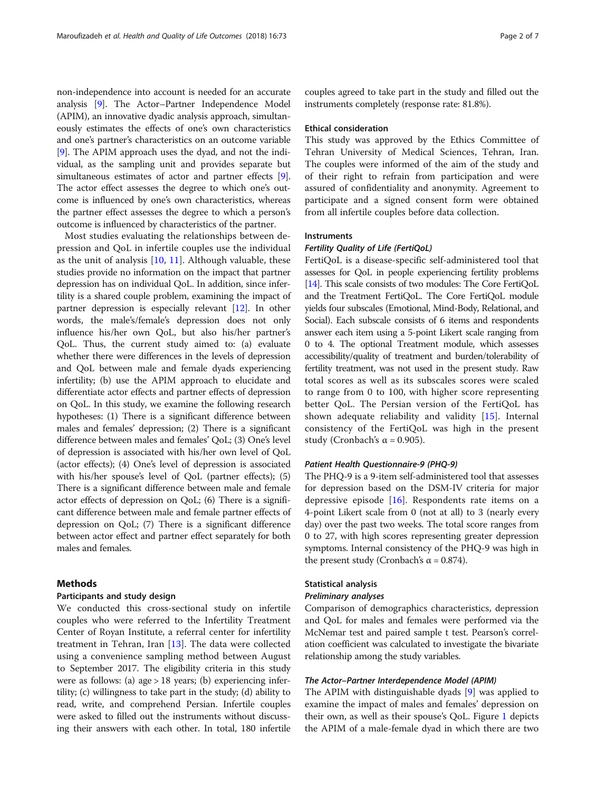non-independence into account is needed for an accurate analysis [\[9\]](#page-6-0). The Actor–Partner Independence Model (APIM), an innovative dyadic analysis approach, simultaneously estimates the effects of one's own characteristics and one's partner's characteristics on an outcome variable [[9\]](#page-6-0). The APIM approach uses the dyad, and not the individual, as the sampling unit and provides separate but simultaneous estimates of actor and partner effects [[9](#page-6-0)]. The actor effect assesses the degree to which one's outcome is influenced by one's own characteristics, whereas the partner effect assesses the degree to which a person's outcome is influenced by characteristics of the partner.

Most studies evaluating the relationships between depression and QoL in infertile couples use the individual as the unit of analysis [[10,](#page-6-0) [11](#page-6-0)]. Although valuable, these studies provide no information on the impact that partner depression has on individual QoL. In addition, since infertility is a shared couple problem, examining the impact of partner depression is especially relevant [\[12\]](#page-6-0). In other words, the male's/female's depression does not only influence his/her own QoL, but also his/her partner's QoL. Thus, the current study aimed to: (a) evaluate whether there were differences in the levels of depression and QoL between male and female dyads experiencing infertility; (b) use the APIM approach to elucidate and differentiate actor effects and partner effects of depression on QoL. In this study, we examine the following research hypotheses: (1) There is a significant difference between males and females' depression; (2) There is a significant difference between males and females' QoL; (3) One's level of depression is associated with his/her own level of QoL (actor effects); (4) One's level of depression is associated with his/her spouse's level of QoL (partner effects); (5) There is a significant difference between male and female actor effects of depression on QoL; (6) There is a significant difference between male and female partner effects of depression on QoL; (7) There is a significant difference between actor effect and partner effect separately for both males and females.

# Methods

#### Participants and study design

We conducted this cross-sectional study on infertile couples who were referred to the Infertility Treatment Center of Royan Institute, a referral center for infertility treatment in Tehran, Iran [[13](#page-6-0)]. The data were collected using a convenience sampling method between August to September 2017. The eligibility criteria in this study were as follows: (a) age > 18 years; (b) experiencing infertility; (c) willingness to take part in the study; (d) ability to read, write, and comprehend Persian. Infertile couples were asked to filled out the instruments without discussing their answers with each other. In total, 180 infertile couples agreed to take part in the study and filled out the instruments completely (response rate: 81.8%).

## Ethical consideration

This study was approved by the Ethics Committee of Tehran University of Medical Sciences, Tehran, Iran. The couples were informed of the aim of the study and of their right to refrain from participation and were assured of confidentiality and anonymity. Agreement to participate and a signed consent form were obtained from all infertile couples before data collection.

#### **Instruments**

## Fertility Quality of Life (FertiQoL)

FertiQoL is a disease-specific self-administered tool that assesses for QoL in people experiencing fertility problems [[14\]](#page-6-0). This scale consists of two modules: The Core FertiQoL and the Treatment FertiQoL. The Core FertiQoL module yields four subscales (Emotional, Mind-Body, Relational, and Social). Each subscale consists of 6 items and respondents answer each item using a 5-point Likert scale ranging from 0 to 4. The optional Treatment module, which assesses accessibility/quality of treatment and burden/tolerability of fertility treatment, was not used in the present study. Raw total scores as well as its subscales scores were scaled to range from 0 to 100, with higher score representing better QoL. The Persian version of the FertiQoL has shown adequate reliability and validity [\[15\]](#page-6-0). Internal consistency of the FertiQoL was high in the present study (Cronbach's  $\alpha$  = 0.905).

# Patient Health Questionnaire-9 (PHQ-9)

The PHQ-9 is a 9-item self-administered tool that assesses for depression based on the DSM-IV criteria for major depressive episode  $[16]$  $[16]$ . Respondents rate items on a 4-point Likert scale from 0 (not at all) to 3 (nearly every day) over the past two weeks. The total score ranges from 0 to 27, with high scores representing greater depression symptoms. Internal consistency of the PHQ-9 was high in the present study (Cronbach's α = 0.874).

# Statistical analysis

#### Preliminary analyses

Comparison of demographics characteristics, depression and QoL for males and females were performed via the McNemar test and paired sample t test. Pearson's correlation coefficient was calculated to investigate the bivariate relationship among the study variables.

# The Actor–Partner Interdependence Model (APIM)

The APIM with distinguishable dyads [\[9](#page-6-0)] was applied to examine the impact of males and females' depression on their own, as well as their spouse's QoL. Figure [1](#page-2-0) depicts the APIM of a male-female dyad in which there are two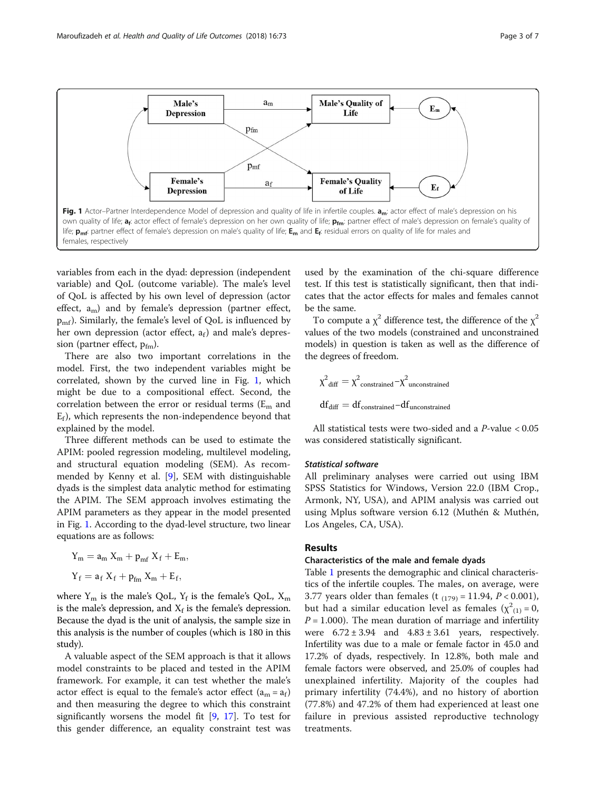<span id="page-2-0"></span>

variables from each in the dyad: depression (independent variable) and QoL (outcome variable). The male's level of QoL is affected by his own level of depression (actor effect,  $a_m$ ) and by female's depression (partner effect,  $p_{\rm mf}$ ). Similarly, the female's level of QoL is influenced by her own depression (actor effect,  $a_f$ ) and male's depression (partner effect,  $p_{fm}$ ).

There are also two important correlations in the model. First, the two independent variables might be correlated, shown by the curved line in Fig. 1, which might be due to a compositional effect. Second, the correlation between the error or residual terms  $(E_m$  and  $E_f$ ), which represents the non-independence beyond that explained by the model.

Three different methods can be used to estimate the APIM: pooled regression modeling, multilevel modeling, and structural equation modeling (SEM). As recommended by Kenny et al. [[9\]](#page-6-0), SEM with distinguishable dyads is the simplest data analytic method for estimating the APIM. The SEM approach involves estimating the APIM parameters as they appear in the model presented in Fig. 1. According to the dyad-level structure, two linear equations are as follows:

$$
Y_m = a_m X_m + p_{mf} X_f + E_m,
$$
  

$$
Y_f = a_f X_f + p_{fm} X_m + E_f,
$$

where  $Y_m$  is the male's QoL,  $Y_f$  is the female's QoL,  $X_m$ is the male's depression, and  $X_f$  is the female's depression. Because the dyad is the unit of analysis, the sample size in this analysis is the number of couples (which is 180 in this study).

A valuable aspect of the SEM approach is that it allows model constraints to be placed and tested in the APIM framework. For example, it can test whether the male's actor effect is equal to the female's actor effect  $(a_m = a_f)$ and then measuring the degree to which this constraint significantly worsens the model fit [[9,](#page-6-0) [17](#page-6-0)]. To test for this gender difference, an equality constraint test was used by the examination of the chi-square difference test. If this test is statistically significant, then that indicates that the actor effects for males and females cannot be the same.

To compute a  $\chi^2$  difference test, the difference of the  $\chi^2$ values of the two models (constrained and unconstrained models) in question is taken as well as the difference of the degrees of freedom.

$$
\chi^2_{\text{ diff}} = \chi^2_{\text{constrained}} - \chi^2_{\text{unconstrained}}
$$
  
df<sub>diff</sub> = df<sub>constrained</sub>-df<sub>unconstrained</sub>

All statistical tests were two-sided and a P-value < 0.05 was considered statistically significant.

## Statistical software

All preliminary analyses were carried out using IBM SPSS Statistics for Windows, Version 22.0 (IBM Crop., Armonk, NY, USA), and APIM analysis was carried out using Mplus software version 6.12 (Muthén & Muthén, Los Angeles, CA, USA).

#### Results

# Characteristics of the male and female dyads

Table [1](#page-3-0) presents the demographic and clinical characteristics of the infertile couples. The males, on average, were 3.77 years older than females (t  $_{(179)}$  = 11.94, P < 0.001), but had a similar education level as females  $(\chi^2_{(1)} = 0,$  $P = 1.000$ ). The mean duration of marriage and infertility were  $6.72 \pm 3.94$  and  $4.83 \pm 3.61$  years, respectively. Infertility was due to a male or female factor in 45.0 and 17.2% of dyads, respectively. In 12.8%, both male and female factors were observed, and 25.0% of couples had unexplained infertility. Majority of the couples had primary infertility (74.4%), and no history of abortion (77.8%) and 47.2% of them had experienced at least one failure in previous assisted reproductive technology treatments.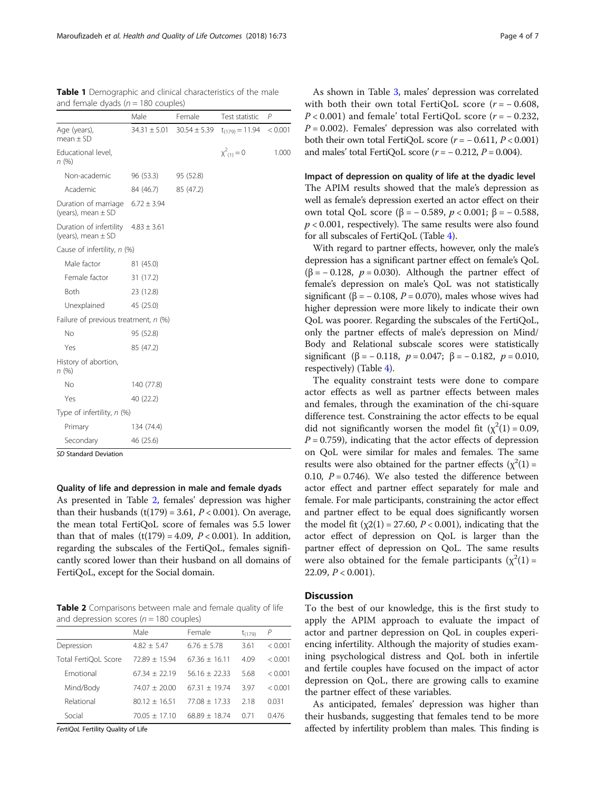<span id="page-3-0"></span>Table 1 Demographic and clinical characteristics of the male

| and female dyads ( $n = 180$ couples)             |                  |                  |                     |         |  |  |  |
|---------------------------------------------------|------------------|------------------|---------------------|---------|--|--|--|
|                                                   | Male             | Female           | Test statistic      | P       |  |  |  |
| Age (years),<br>$mean \pm SD$                     | $34.31 \pm 5.01$ | $30.54 \pm 5.39$ | $t_{(179)} = 11.94$ | < 0.001 |  |  |  |
| Educational level,<br>n(%)                        |                  |                  | $x^2_{(1)}=0$       | 1.000   |  |  |  |
| Non-academic                                      | 96 (53.3)        | 95 (52.8)        |                     |         |  |  |  |
| Academic                                          | 84 (46.7)        | 85 (47.2)        |                     |         |  |  |  |
| Duration of marriage<br>(years), mean $\pm$ SD    | $6.72 \pm 3.94$  |                  |                     |         |  |  |  |
| Duration of infertility<br>(years), mean $\pm$ SD | $4.83 \pm 3.61$  |                  |                     |         |  |  |  |
| Cause of infertility, n (%)                       |                  |                  |                     |         |  |  |  |
| Male factor                                       | 81 (45.0)        |                  |                     |         |  |  |  |
| Female factor                                     | 31 (17.2)        |                  |                     |         |  |  |  |
| <b>Both</b>                                       | 23 (12.8)        |                  |                     |         |  |  |  |
| Unexplained                                       | 45 (25.0)        |                  |                     |         |  |  |  |
| Failure of previous treatment, n (%)              |                  |                  |                     |         |  |  |  |
| <b>No</b>                                         | 95 (52.8)        |                  |                     |         |  |  |  |
| Yes                                               | 85 (47.2)        |                  |                     |         |  |  |  |
| History of abortion,<br>n(%)                      |                  |                  |                     |         |  |  |  |
| <b>No</b>                                         | 140 (77.8)       |                  |                     |         |  |  |  |
| Yes                                               | 40 (22.2)        |                  |                     |         |  |  |  |
| Type of infertility, n (%)                        |                  |                  |                     |         |  |  |  |
| Primary                                           | 134 (74.4)       |                  |                     |         |  |  |  |
| Secondary                                         | 46 (25.6)        |                  |                     |         |  |  |  |

SD Standard Deviation

Quality of life and depression in male and female dyads

As presented in Table 2, females' depression was higher than their husbands (t(179) = 3.61,  $P < 0.001$ ). On average, the mean total FertiQoL score of females was 5.5 lower than that of males  $(t(179) = 4.09, P < 0.001)$ . In addition, regarding the subscales of the FertiQoL, females significantly scored lower than their husband on all domains of FertiQoL, except for the Social domain.

Table 2 Comparisons between male and female quality of life and depression scores ( $n = 180$  couples)

|                      | Male            | Female          | $t_{(179)}$ | P       |
|----------------------|-----------------|-----------------|-------------|---------|
| Depression           | $4.82 + 5.47$   | $6.76 + 5.78$   | 3.61        | < 0.001 |
| Total FertiOoL Score | $72.89 + 15.94$ | $67.36 + 16.11$ | 4.09        | < 0.001 |
| Emotional            | $67.34 + 22.19$ | $56.16 + 22.33$ | 5.68        | < 0.001 |
| Mind/Body            | $74.07 + 20.00$ | $67.31 + 19.74$ | 397         | < 0.001 |
| Relational           | $80.12 + 16.51$ | $77.08 + 17.33$ | 218         | 0.031   |
| Social               | $70.05 + 17.10$ | $68.89 + 18.74$ | 0.71        | 0.476   |

FertiQoL Fertility Quality of Life

As shown in Table [3](#page-4-0), males' depression was correlated with both their own total FertiQoL score ( $r = -0.608$ ,  $P < 0.001$ ) and female' total FertiQoL score ( $r = -0.232$ ,  $P = 0.002$ ). Females' depression was also correlated with both their own total FertiQoL score  $(r = -0.611, P < 0.001)$ 

Impact of depression on quality of life at the dyadic level The APIM results showed that the male's depression as well as female's depression exerted an actor effect on their own total QoL score (β = − 0.589, p < 0.001; β = − 0.588,  $p < 0.001$ , respectively). The same results were also found for all subscales of FertiQoL (Table [4\)](#page-4-0).

and males' total FertiQoL score  $(r = -0.212, P = 0.004)$ .

With regard to partner effects, however, only the male's depression has a significant partner effect on female's QoL ( $\beta$  = -0.128,  $p$  = 0.030). Although the partner effect of female's depression on male's QoL was not statistically significant ( $\beta$  = -0.108, P = 0.070), males whose wives had higher depression were more likely to indicate their own QoL was poorer. Regarding the subscales of the FertiQoL, only the partner effects of male's depression on Mind/ Body and Relational subscale scores were statistically significant (β = - 0.118,  $p = 0.047$ ; β = - 0.182,  $p = 0.010$ , respectively) (Table [4](#page-4-0)).

The equality constraint tests were done to compare actor effects as well as partner effects between males and females, through the examination of the chi-square difference test. Constraining the actor effects to be equal did not significantly worsen the model fit  $(\chi^2(1) = 0.09,$  $P = 0.759$ , indicating that the actor effects of depression on QoL were similar for males and females. The same results were also obtained for the partner effects  $(\chi^2(1) =$ 0.10,  $P = 0.746$ ). We also tested the difference between actor effect and partner effect separately for male and female. For male participants, constraining the actor effect and partner effect to be equal does significantly worsen the model fit  $(\chi2(1) = 27.60, P < 0.001)$ , indicating that the actor effect of depression on QoL is larger than the partner effect of depression on QoL. The same results were also obtained for the female participants  $(\chi^2(1) =$ 22.09,  $P < 0.001$ ).

# **Discussion**

To the best of our knowledge, this is the first study to apply the APIM approach to evaluate the impact of actor and partner depression on QoL in couples experiencing infertility. Although the majority of studies examining psychological distress and QoL both in infertile and fertile couples have focused on the impact of actor depression on QoL, there are growing calls to examine the partner effect of these variables.

As anticipated, females' depression was higher than their husbands, suggesting that females tend to be more affected by infertility problem than males. This finding is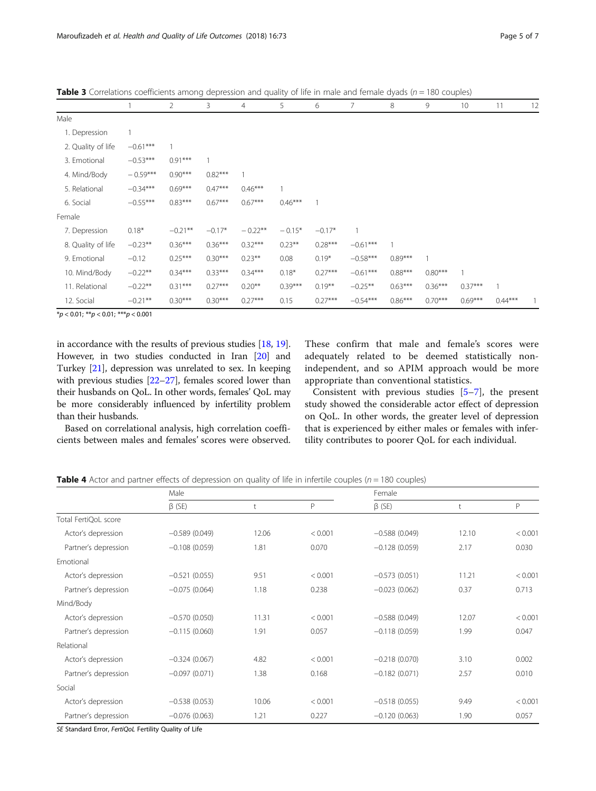|                    |            | $\overline{2}$ | 3         | 4         | 5         | 6         | 7          | 8         | 9         | 10        | 11        | 12 |
|--------------------|------------|----------------|-----------|-----------|-----------|-----------|------------|-----------|-----------|-----------|-----------|----|
| Male               |            |                |           |           |           |           |            |           |           |           |           |    |
| 1. Depression      |            |                |           |           |           |           |            |           |           |           |           |    |
| 2. Quality of life | $-0.61***$ |                |           |           |           |           |            |           |           |           |           |    |
| 3. Emotional       | $-0.53***$ | $0.91***$      |           |           |           |           |            |           |           |           |           |    |
| 4. Mind/Body       | $-0.59***$ | $0.90***$      | $0.82***$ |           |           |           |            |           |           |           |           |    |
| 5. Relational      | $-0.34***$ | $0.69***$      | $0.47***$ | $0.46***$ |           |           |            |           |           |           |           |    |
| 6. Social          | $-0.55***$ | $0.83***$      | $0.67***$ | $0.67***$ | $0.46***$ |           |            |           |           |           |           |    |
| Female             |            |                |           |           |           |           |            |           |           |           |           |    |
| 7. Depression      | $0.18*$    | $-0.21***$     | $-0.17*$  | $-0.22**$ | $-0.15*$  | $-0.17*$  |            |           |           |           |           |    |
| 8. Quality of life | $-0.23**$  | $0.36***$      | $0.36***$ | $0.32***$ | $0.23***$ | $0.28***$ | $-0.61***$ |           |           |           |           |    |
| 9. Emotional       | $-0.12$    | $0.25***$      | $0.30***$ | $0.23***$ | 0.08      | $0.19*$   | $-0.58***$ | $0.89***$ |           |           |           |    |
| 10. Mind/Body      | $-0.22**$  | $0.34***$      | $0.33***$ | $0.34***$ | $0.18*$   | $0.27***$ | $-0.61***$ | $0.88***$ | $0.80***$ |           |           |    |
| 11. Relational     | $-0.22**$  | $0.31***$      | $0.27***$ | $0.20**$  | $0.39***$ | $0.19***$ | $-0.25***$ | $0.63***$ | $0.36***$ | $0.37***$ |           |    |
| 12. Social         | $-0.21***$ | $0.30***$      | $0.30***$ | $0.27***$ | 0.15      | $0.27***$ | $-0.54***$ | $0.86***$ | $0.70***$ | $0.69***$ | $0.44***$ |    |

<span id="page-4-0"></span>**Table 3** Correlations coefficients among depression and quality of life in male and female dyads ( $n = 180$  couples)

 $**p* < 0.01; ***p* < 0.01; ****p* < 0.001$ 

in accordance with the results of previous studies [\[18,](#page-6-0) [19](#page-6-0)]. However, in two studies conducted in Iran [[20](#page-6-0)] and Turkey [\[21\]](#page-6-0), depression was unrelated to sex. In keeping with previous studies [[22](#page-6-0)–[27\]](#page-6-0), females scored lower than their husbands on QoL. In other words, females' QoL may be more considerably influenced by infertility problem than their husbands.

Based on correlational analysis, high correlation coefficients between males and females' scores were observed. These confirm that male and female's scores were adequately related to be deemed statistically nonindependent, and so APIM approach would be more appropriate than conventional statistics.

Consistent with previous studies [\[5](#page-5-0)–[7\]](#page-6-0), the present study showed the considerable actor effect of depression on QoL. In other words, the greater level of depression that is experienced by either males or females with infertility contributes to poorer QoL for each individual.

**Table 4** Actor and partner effects of depression on quality of life in infertile couples ( $n = 180$  couples)

|                      | Male            |       |         | Female          |       |         |  |
|----------------------|-----------------|-------|---------|-----------------|-------|---------|--|
|                      | $\beta$ (SE)    |       | P       | $\beta$ (SE)    | t     | P       |  |
| Total FertiQoL score |                 |       |         |                 |       |         |  |
| Actor's depression   | $-0.589(0.049)$ | 12.06 | < 0.001 | $-0.588(0.049)$ | 12.10 | < 0.001 |  |
| Partner's depression | $-0.108(0.059)$ | 1.81  | 0.070   | $-0.128(0.059)$ | 2.17  | 0.030   |  |
| Emotional            |                 |       |         |                 |       |         |  |
| Actor's depression   | $-0.521(0.055)$ | 9.51  | < 0.001 | $-0.573(0.051)$ | 11.21 | < 0.001 |  |
| Partner's depression | $-0.075(0.064)$ | 1.18  | 0.238   | $-0.023(0.062)$ | 0.37  | 0.713   |  |
| Mind/Body            |                 |       |         |                 |       |         |  |
| Actor's depression   | $-0.570(0.050)$ | 11.31 | < 0.001 | $-0.588(0.049)$ | 12.07 | < 0.001 |  |
| Partner's depression | $-0.115(0.060)$ | 1.91  | 0.057   | $-0.118(0.059)$ | 1.99  | 0.047   |  |
| Relational           |                 |       |         |                 |       |         |  |
| Actor's depression   | $-0.324(0.067)$ | 4.82  | < 0.001 | $-0.218(0.070)$ | 3.10  | 0.002   |  |
| Partner's depression | $-0.097(0.071)$ | 1.38  | 0.168   | $-0.182(0.071)$ | 2.57  | 0.010   |  |
| Social               |                 |       |         |                 |       |         |  |
| Actor's depression   | $-0.538(0.053)$ | 10.06 | < 0.001 | $-0.518(0.055)$ | 9.49  | < 0.001 |  |
| Partner's depression | $-0.076(0.063)$ | 1.21  | 0.227   | $-0.120(0.063)$ | 1.90  | 0.057   |  |

SE Standard Error, FertiQoL Fertility Quality of Life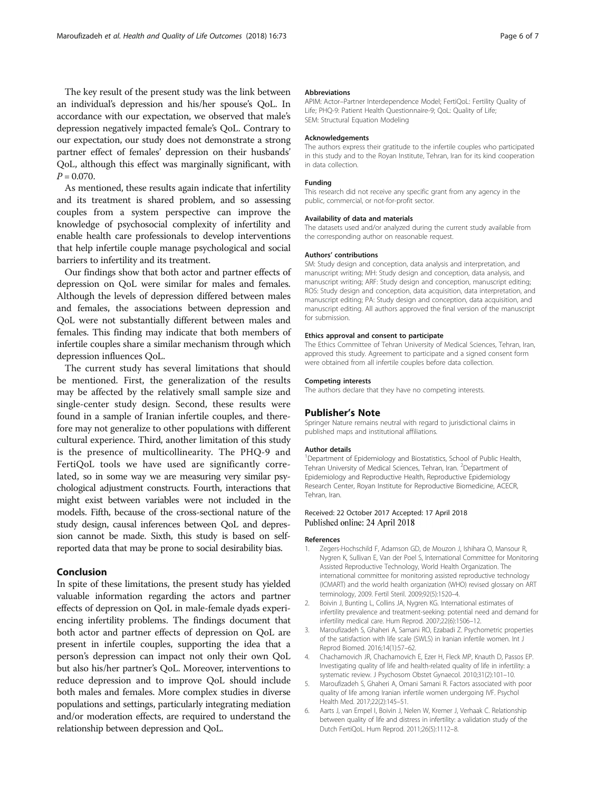<span id="page-5-0"></span>The key result of the present study was the link between an individual's depression and his/her spouse's QoL. In accordance with our expectation, we observed that male's depression negatively impacted female's QoL. Contrary to our expectation, our study does not demonstrate a strong partner effect of females' depression on their husbands' QoL, although this effect was marginally significant, with  $P = 0.070$ .

As mentioned, these results again indicate that infertility and its treatment is shared problem, and so assessing couples from a system perspective can improve the knowledge of psychosocial complexity of infertility and enable health care professionals to develop interventions that help infertile couple manage psychological and social barriers to infertility and its treatment.

Our findings show that both actor and partner effects of depression on QoL were similar for males and females. Although the levels of depression differed between males and females, the associations between depression and QoL were not substantially different between males and females. This finding may indicate that both members of infertile couples share a similar mechanism through which depression influences QoL.

The current study has several limitations that should be mentioned. First, the generalization of the results may be affected by the relatively small sample size and single-center study design. Second, these results were found in a sample of Iranian infertile couples, and therefore may not generalize to other populations with different cultural experience. Third, another limitation of this study is the presence of multicollinearity. The PHQ-9 and FertiQoL tools we have used are significantly correlated, so in some way we are measuring very similar psychological adjustment constructs. Fourth, interactions that might exist between variables were not included in the models. Fifth, because of the cross-sectional nature of the study design, causal inferences between QoL and depression cannot be made. Sixth, this study is based on selfreported data that may be prone to social desirability bias.

# Conclusion

In spite of these limitations, the present study has yielded valuable information regarding the actors and partner effects of depression on QoL in male-female dyads experiencing infertility problems. The findings document that both actor and partner effects of depression on QoL are present in infertile couples, supporting the idea that a person's depression can impact not only their own QoL but also his/her partner's QoL. Moreover, interventions to reduce depression and to improve QoL should include both males and females. More complex studies in diverse populations and settings, particularly integrating mediation and/or moderation effects, are required to understand the relationship between depression and QoL.

#### Abbreviations

APIM: Actor-Partner Interdependence Model; FertiQoL: Fertility Quality of Life; PHQ-9: Patient Health Questionnaire-9; QoL: Quality of Life; SEM: Structural Equation Modeling

#### Acknowledgements

The authors express their gratitude to the infertile couples who participated in this study and to the Royan Institute, Tehran, Iran for its kind cooperation in data collection.

#### Funding

This research did not receive any specific grant from any agency in the public, commercial, or not-for-profit sector.

#### Availability of data and materials

The datasets used and/or analyzed during the current study available from the corresponding author on reasonable request.

#### Authors' contributions

SM: Study design and conception, data analysis and interpretation, and manuscript writing; MH: Study design and conception, data analysis, and manuscript writing; ARF: Study design and conception, manuscript editing; ROS: Study design and conception, data acquisition, data interpretation, and manuscript editing; PA: Study design and conception, data acquisition, and manuscript editing. All authors approved the final version of the manuscript for submission.

#### Ethics approval and consent to participate

The Ethics Committee of Tehran University of Medical Sciences, Tehran, Iran, approved this study. Agreement to participate and a signed consent form were obtained from all infertile couples before data collection.

#### Competing interests

The authors declare that they have no competing interests.

#### Publisher's Note

Springer Nature remains neutral with regard to jurisdictional claims in published maps and institutional affiliations.

#### Author details

<sup>1</sup>Department of Epidemiology and Biostatistics, School of Public Health, Tehran University of Medical Sciences, Tehran, Iran. <sup>2</sup>Department of Epidemiology and Reproductive Health, Reproductive Epidemiology Research Center, Royan Institute for Reproductive Biomedicine, ACECR, Tehran, Iran.

#### Received: 22 October 2017 Accepted: 17 April 2018 Published online: 24 April 2018

#### References

- 1. Zegers-Hochschild F, Adamson GD, de Mouzon J, Ishihara O, Mansour R, Nygren K, Sullivan E, Van der Poel S, International Committee for Monitoring Assisted Reproductive Technology, World Health Organization. The international committee for monitoring assisted reproductive technology (ICMART) and the world health organization (WHO) revised glossary on ART terminology, 2009. Fertil Steril. 2009;92(5):1520–4.
- 2. Boivin J, Bunting L, Collins JA, Nygren KG. International estimates of infertility prevalence and treatment-seeking: potential need and demand for infertility medical care. Hum Reprod. 2007;22(6):1506–12.
- 3. Maroufizadeh S, Ghaheri A, Samani RO, Ezabadi Z. Psychometric properties of the satisfaction with life scale (SWLS) in Iranian infertile women. Int J Reprod Biomed. 2016;14(1):57–62.
- 4. Chachamovich JR, Chachamovich E, Ezer H, Fleck MP, Knauth D, Passos EP. Investigating quality of life and health-related quality of life in infertility: a systematic review. J Psychosom Obstet Gynaecol. 2010;31(2):101–10.
- 5. Maroufizadeh S, Ghaheri A, Omani Samani R. Factors associated with poor quality of life among Iranian infertile women undergoing IVF. Psychol Health Med. 2017;22(2):145–51.
- 6. Aarts J, van Empel I, Boivin J, Nelen W, Kremer J, Verhaak C. Relationship between quality of life and distress in infertility: a validation study of the Dutch FertiQoL. Hum Reprod. 2011;26(5):1112–8.